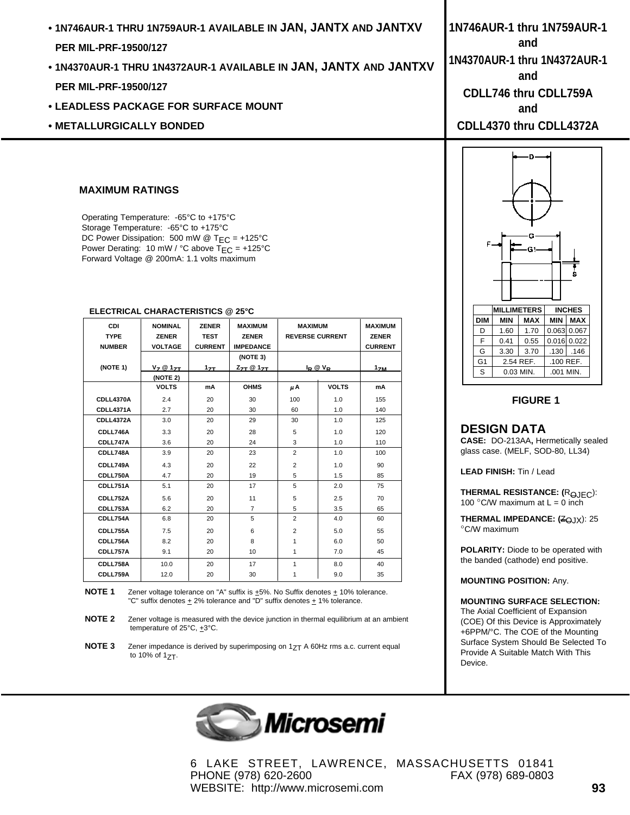- **1N746AUR-1 THRU 1N759AUR-1 AVAILABLE IN JAN, JANTX AND JANTXV PER MIL-PRF-19500/127**
- **1N4370AUR-1 THRU 1N4372AUR-1 AVAILABLE IN JAN, JANTX AND JANTXV PER MIL-PRF-19500/127**
- **LEADLESS PACKAGE FOR SURFACE MOUNT**
- **METALLURGICALLY BONDED**

#### **MAXIMUM RATINGS**

Operating Temperature: -65°C to +175°C Storage Temperature: -65°C to +175°C DC Power Dissipation: 500 mW @ T<sub>EC</sub> = +125°C Power Derating: 10 mW / °C above  $TEC = +125$ °C Forward Voltage @ 200mA: 1.1 volts maximum

| CDI<br><b>TYPE</b><br><b>NUMBER</b> | <b>NOMINAL</b><br><b>ZENER</b><br><b>VOLTAGE</b> | <b>ZENER</b><br><b>TEST</b><br><b>CURRENT</b> | <b>MAXIMUM</b><br><b>ZENER</b><br><b>IMPEDANCE</b> | <b>MAXIMUM</b><br><b>REVERSE CURRENT</b> |              | <b>MAXIMUM</b><br><b>ZENER</b><br><b>CURRENT</b> |
|-------------------------------------|--------------------------------------------------|-----------------------------------------------|----------------------------------------------------|------------------------------------------|--------------|--------------------------------------------------|
|                                     |                                                  |                                               | (NOTE 3)                                           |                                          |              |                                                  |
| (NOTE 1)                            | $V_7$ $@$ 1 <sub>7T</sub>                        | 17 <sub>TL</sub>                              | $Z_{\text{ZT}} \otimes 1_{\text{ZT}}$              | $I_P @V_P$                               |              | 1 <sub>7M</sub>                                  |
|                                     | (NOTE 2)                                         |                                               |                                                    |                                          |              |                                                  |
|                                     | <b>VOLTS</b>                                     | mA                                            | <b>OHMS</b>                                        | μA                                       | <b>VOLTS</b> | mA                                               |
| CDLL4370A                           | 2.4                                              | 20                                            | 30                                                 | 100                                      | 1.0          | 155                                              |
| CDLL4371A                           | 2.7                                              | 20                                            | 30                                                 | 60                                       | 1.0          | 140                                              |
| <b>CDLL4372A</b>                    | 3.0                                              | 20                                            | 29                                                 | 30                                       | 1.0          | 125                                              |
| CDLL746A                            | 3.3                                              | 20                                            | 28                                                 | 5                                        | 1.0          | 120                                              |
| CDLL747A                            | 3.6                                              | 20                                            | 24                                                 | 3                                        | 1.0          | 110                                              |
| CDLL748A                            | 3.9                                              | 20                                            | 23                                                 | $\overline{2}$                           | 1.0          | 100                                              |
| CDLL749A                            | 4.3                                              | 20                                            | 22                                                 | $\overline{2}$                           | 1.0          | 90                                               |
| CDLL750A                            | 4.7                                              | 20                                            | 19                                                 | 5                                        | 1.5          | 85                                               |
| CDLL751A                            | 5.1                                              | 20                                            | 17                                                 | 5                                        | 2.0          | 75                                               |
| CDLL752A                            | 5.6                                              | 20                                            | 11                                                 | 5                                        | 2.5          | 70                                               |
| CDLL753A                            | 6.2                                              | 20                                            | $\overline{7}$                                     | 5                                        | 3.5          | 65                                               |
| CDLL754A                            | 6.8                                              | 20                                            | 5                                                  | $\overline{2}$                           | 4.0          | 60                                               |
| CDLL755A                            | 7.5                                              | 20                                            | 6                                                  | $\overline{2}$                           | 5.0          | 55                                               |
| CDLL756A                            | 8.2                                              | 20                                            | 8                                                  | 1                                        | 6.0          | 50                                               |
| CDLL757A                            | 9.1                                              | 20                                            | 10                                                 | 1                                        | 7.0          | 45                                               |
| CDLL758A                            | 10.0                                             | 20                                            | 17                                                 | 1                                        | 8.0          | 40                                               |
| CDLL759A                            | 12.0                                             | 20                                            | 30                                                 | 1                                        | 9.0          | 35                                               |

#### **ELECTRICAL CHARACTERISTICS @ 25°C**

**NOTE 1** Zener voltage tolerance on "A" suffix is  $\pm$ 5%. No Suffix denotes  $\pm$  10% tolerance. "C" suffix denotes  $\pm 2\%$  tolerance and "D" suffix denotes  $\pm 1\%$  tolerance.

**NOTE 3** Zener impedance is derived by superimposing on 1<sub>ZT</sub> A 60Hz rms a.c. current equal to  $10\%$  of  $17$ .



6 LAKE STREET, LAWRENCE, MASSACHUSETTS 01841 PHONE (978) 620-2600 FAX (978) 689-0803 WEBSITE: http://www.microsemi.com **93**

**1N746AUR-1 thru 1N759AUR-1 and 1N4370AUR-1 thru 1N4372AUR-1 and CDLL746 thru CDLL759A and CDLL4370 thru CDLL4372A**D ė **MILLIMETERS INCHES**

### $DIM$  MIN  $MAX$  MIN  $MX$  $D$  1.60 1.70 0.063 0.067  $F | 0.41 | 0.55 | 0.016 | 0.022$ G  $\vert$  3.30  $\vert$  3.70  $\vert$  .130  $\vert$  .146  $G1$  2.54 REF. ... 100 REF.  $S \begin{bmatrix} 0.03 \text{ MIN.} & 0.001 \text{ MIN.} \end{bmatrix}$

### **FIGURE 1**

#### **DESIGN DATA**

**CASE:** DO-213AA**,** Hermetically sealed glass case. (MELF, SOD-80, LL34)

**LEAD FINISH:** Tin / Lead

**THERMAL RESISTANCE:** (R<sub>OJEC</sub>): 100 °C/W maximum at  $L = 0$  inch

**THERMAL IMPEDANCE:** (ZQJX): 25 °C/W maximum

**POLARITY:** Diode to be operated with the banded (cathode) end positive.

**MOUNTING POSITION:** Any.

#### **MOUNTING SURFACE SELECTION:**

The Axial Coefficient of Expansion (COE) Of this Device is Approximately +6PPM/°C. The COE of the Mounting Surface System Should Be Selected To Provide A Suitable Match With This Device.

**NOTE 2** Zener voltage is measured with the device junction in thermal equilibrium at an ambient temperature of 25°C, +3°C.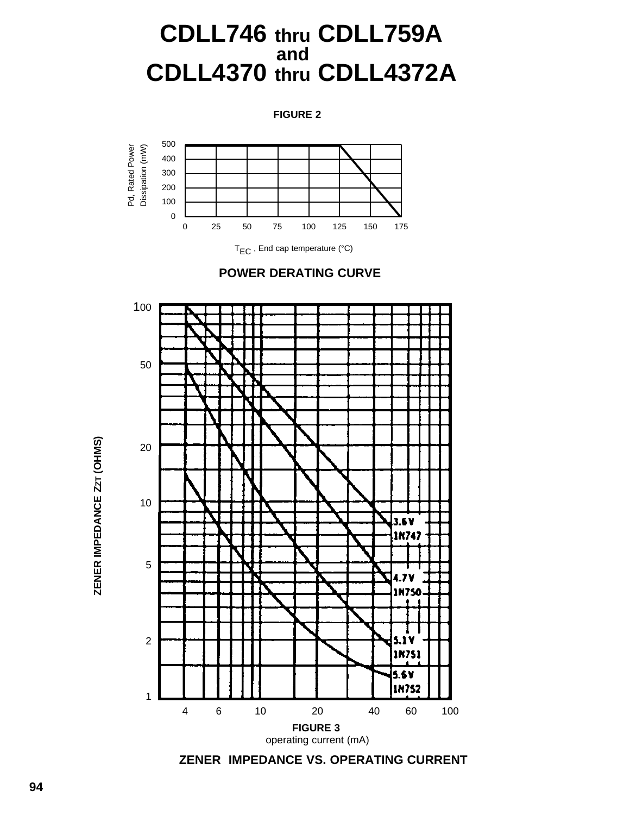# **CDLL746 thru CDLL759A and CDLL4370 thru CDLL4372A**

**FIGURE 2**



T<sub>EC</sub>, End cap temperature (°C)





**ZENER IMPEDANCE VS. OPERATING CURRENT**

**ZENER IMPEDANCE ZZT (OHMS)**

ZENER IMPEDANCE ZZT (OHMS)